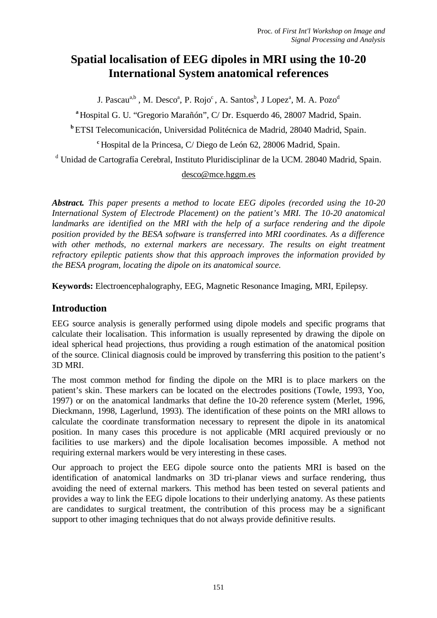# **Spatial localisation of EEG dipoles in MRI using the 10-20 International System anatomical references**

J. Pascau<sup>a,b</sup> , M. Desco<sup>a</sup>, P. Rojo<sup>c</sup> , A. Santos<sup>b</sup>, J Lopez<sup>a</sup>, M. A. Pozo<sup>d</sup>

**<sup>a</sup>**Hospital G. U. "Gregorio Marañón", C/ Dr. Esquerdo 46, 28007 Madrid, Spain.

**<sup>b</sup>**ETSI Telecomunicación, Universidad Politécnica de Madrid, 28040 Madrid, Spain.

<sup>c</sup> Hospital de la Princesa, C/ Diego de León 62, 28006 Madrid, Spain.

<sup>d</sup> Unidad de Cartografía Cerebral, Instituto Pluridisciplinar de la UCM. 28040 Madrid, Spain.

#### desco@mce.hggm.es

*Abstract. This paper presents a method to locate EEG dipoles (recorded using the 10-20 International System of Electrode Placement) on the patient's MRI. The 10-20 anatomical landmarks are identified on the MRI with the help of a surface rendering and the dipole position provided by the BESA software is transferred into MRI coordinates. As a difference with other methods, no external markers are necessary. The results on eight treatment refractory epileptic patients show that this approach improves the information provided by the BESA program, locating the dipole on its anatomical source.* 

**Keywords:** Electroencephalography, EEG, Magnetic Resonance Imaging, MRI, Epilepsy.

# **Introduction**

EEG source analysis is generally performed using dipole models and specific programs that calculate their localisation. This information is usually represented by drawing the dipole on ideal spherical head projections, thus providing a rough estimation of the anatomical position of the source. Clinical diagnosis could be improved by transferring this position to the patient's 3D MRI.

The most common method for finding the dipole on the MRI is to place markers on the patient's skin. These markers can be located on the electrodes positions (Towle, 1993, Yoo, 1997) or on the anatomical landmarks that define the 10-20 reference system (Merlet, 1996, Dieckmann, 1998, Lagerlund, 1993). The identification of these points on the MRI allows to calculate the coordinate transformation necessary to represent the dipole in its anatomical position. In many cases this procedure is not applicable (MRI acquired previously or no facilities to use markers) and the dipole localisation becomes impossible. A method not requiring external markers would be very interesting in these cases.

Our approach to project the EEG dipole source onto the patients MRI is based on the identification of anatomical landmarks on 3D tri-planar views and surface rendering, thus avoiding the need of external markers. This method has been tested on several patients and provides a way to link the EEG dipole locations to their underlying anatomy. As these patients are candidates to surgical treatment, the contribution of this process may be a significant support to other imaging techniques that do not always provide definitive results.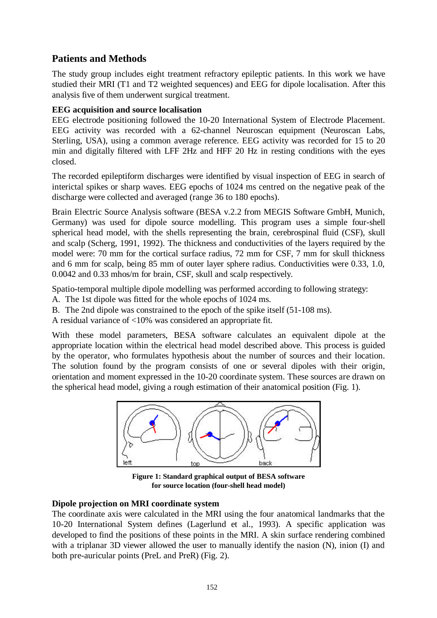# **Patients and Methods**

The study group includes eight treatment refractory epileptic patients. In this work we have studied their MRI (T1 and T2 weighted sequences) and EEG for dipole localisation. After this analysis five of them underwent surgical treatment.

#### **EEG acquisition and source localisation**

EEG electrode positioning followed the 10-20 International System of Electrode Placement. EEG activity was recorded with a 62-channel Neuroscan equipment (Neuroscan Labs, Sterling, USA), using a common average reference. EEG activity was recorded for 15 to 20 min and digitally filtered with LFF 2Hz and HFF 20 Hz in resting conditions with the eyes closed.

The recorded epileptiform discharges were identified by visual inspection of EEG in search of interictal spikes or sharp waves. EEG epochs of 1024 ms centred on the negative peak of the discharge were collected and averaged (range 36 to 180 epochs).

Brain Electric Source Analysis software (BESA v.2.2 from MEGIS Software GmbH, Munich, Germany) was used for dipole source modelling. This program uses a simple four-shell spherical head model, with the shells representing the brain, cerebrospinal fluid (CSF), skull and scalp (Scherg, 1991, 1992). The thickness and conductivities of the layers required by the model were: 70 mm for the cortical surface radius, 72 mm for CSF, 7 mm for skull thickness and 6 mm for scalp, being 85 mm of outer layer sphere radius. Conductivities were 0.33, 1.0, 0.0042 and 0.33 mhos/m for brain, CSF, skull and scalp respectively.

Spatio-temporal multiple dipole modelling was performed according to following strategy:

- A. The 1st dipole was fitted for the whole epochs of 1024 ms.
- B. The 2nd dipole was constrained to the epoch of the spike itself (51-108 ms).

A residual variance of <10% was considered an appropriate fit.

With these model parameters, BESA software calculates an equivalent dipole at the appropriate location within the electrical head model described above. This process is guided by the operator, who formulates hypothesis about the number of sources and their location. The solution found by the program consists of one or several dipoles with their origin, orientation and moment expressed in the 10-20 coordinate system. These sources are drawn on the spherical head model, giving a rough estimation of their anatomical position (Fig. 1).



**Figure 1: Standard graphical output of BESA software for source location (four-shell head model)**

#### **Dipole projection on MRI coordinate system**

The coordinate axis were calculated in the MRI using the four anatomical landmarks that the 10-20 International System defines (Lagerlund et al., 1993). A specific application was developed to find the positions of these points in the MRI. A skin surface rendering combined with a triplanar 3D viewer allowed the user to manually identify the nasion  $(N)$ , inion  $(I)$  and both pre-auricular points (PreL and PreR) (Fig. 2).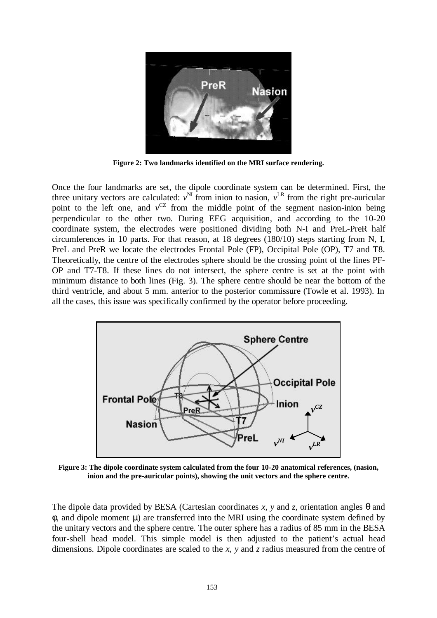

**Figure 2: Two landmarks identified on the MRI surface rendering.** 

Once the four landmarks are set, the dipole coordinate system can be determined. First, the three unitary vectors are calculated:  $v^{\text{NI}}$  from inion to nasion,  $v^{\text{LR}}$  from the right pre-auricular point to the left one, and  $v^{CZ}$  from the middle point of the segment nasion-inion being perpendicular to the other two. During EEG acquisition, and according to the 10-20 coordinate system, the electrodes were positioned dividing both N-I and PreL-PreR half circumferences in 10 parts. For that reason, at 18 degrees (180/10) steps starting from N, I, PreL and PreR we locate the electrodes Frontal Pole (FP), Occipital Pole (OP), T7 and T8. Theoretically, the centre of the electrodes sphere should be the crossing point of the lines PF-OP and T7-T8. If these lines do not intersect, the sphere centre is set at the point with minimum distance to both lines (Fig. 3). The sphere centre should be near the bottom of the third ventricle, and about 5 mm. anterior to the posterior commissure (Towle et al. 1993). In all the cases, this issue was specifically confirmed by the operator before proceeding.



**Figure 3: The dipole coordinate system calculated from the four 10-20 anatomical references, (nasion, inion and the pre-auricular points), showing the unit vectors and the sphere centre.**

The dipole data provided by BESA (Cartesian coordinates *x*, *y* and *z*, orientation angles *q* and *f*, and dipole moment *m*) are transferred into the MRI using the coordinate system defined by the unitary vectors and the sphere centre. The outer sphere has a radius of 85 mm in the BESA four-shell head model. This simple model is then adjusted to the patient's actual head dimensions. Dipole coordinates are scaled to the *x*, *y* and *z* radius measured from the centre of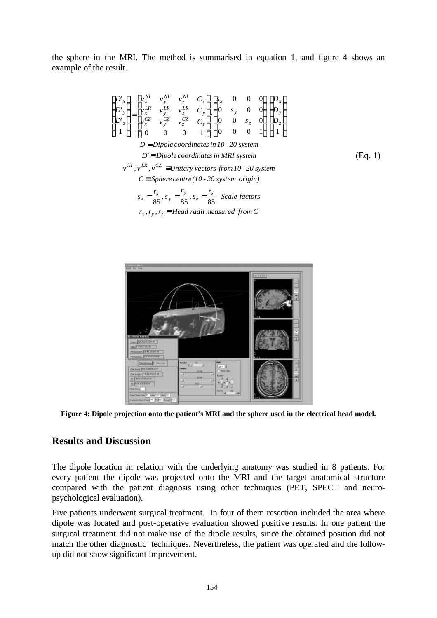the sphere in the MRI. The method is summarised in equation 1, and figure 4 shows an example of the result.

$$
\begin{bmatrix}\nD'_{x} \\
D'_{y} \\
D'_{z} \\
D'_{z}\n\end{bmatrix} =\n\begin{bmatrix}\nv_{x}^{M} & v_{y}^{M} & v_{z}^{M} & C_{x} \\
v_{x}^{LR} & v_{y}^{LR} & v_{z}^{LR} & C_{y} \\
v_{x}^{CZ} & v_{y}^{CZ} & c_{z} \\
0 & 0 & 1\n\end{bmatrix}\n\begin{bmatrix}\nS_{x} & 0 & 0 & 0 \\
0 & s_{y} & 0 & 0 \\
0 & 0 & s_{z} & 0 \\
0 & 0 & 0 & 1\n\end{bmatrix}\n\begin{bmatrix}\nD_{x} \\
D_{y} \\
D_{z} \\
D\n\end{bmatrix}
$$
\n
$$
D \equiv Dipole coordinates in 10 - 20 system
$$
\n
$$
D' \equiv Dipole coordinates in MRI system
$$
\n
$$
v^{NI}, v^{LR}, v^{CZ} \equiv Unitary vectors from 10 - 20 system
$$
\n
$$
C \equiv Sphere centre (10 - 20 system origin)
$$
\n
$$
s_{x} = \frac{r_{x}}{85}, s_{y} = \frac{r_{y}}{85}, s_{z} = \frac{r_{z}}{85} \quad Scale factors
$$
\n
$$
f_{x} = \frac{r_{y}}{85}, s_{z} = \frac{r_{z}}{85} \quad Scale factors
$$

 $r_x$ ,  $r_y$ ,  $r_z \equiv$  *Head radii measured from C* 



**Figure 4: Dipole projection onto the patient's MRI and the sphere used in the electrical head model.**

## **Results and Discussion**

The dipole location in relation with the underlying anatomy was studied in 8 patients. For every patient the dipole was projected onto the MRI and the target anatomical structure compared with the patient diagnosis using other techniques (PET, SPECT and neuropsychological evaluation).

Five patients underwent surgical treatment. In four of them resection included the area where dipole was located and post-operative evaluation showed positive results. In one patient the surgical treatment did not make use of the dipole results, since the obtained position did not match the other diagnostic techniques. Nevertheless, the patient was operated and the followup did not show significant improvement.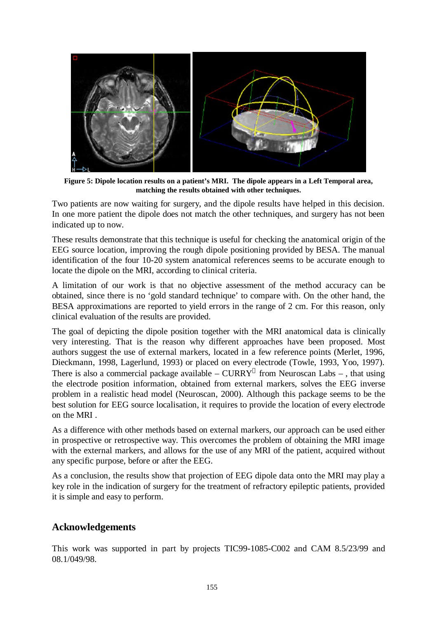

**Figure 5: Dipole location results on a patient's MRI. The dipole appears in a Left Temporal area, matching the results obtained with other techniques.**

Two patients are now waiting for surgery, and the dipole results have helped in this decision. In one more patient the dipole does not match the other techniques, and surgery has not been indicated up to now.

These results demonstrate that this technique is useful for checking the anatomical origin of the EEG source location, improving the rough dipole positioning provided by BESA. The manual identification of the four 10-20 system anatomical references seems to be accurate enough to locate the dipole on the MRI, according to clinical criteria.

A limitation of our work is that no objective assessment of the method accuracy can be obtained, since there is no 'gold standard technique' to compare with. On the other hand, the BESA approximations are reported to yield errors in the range of 2 cm. For this reason, only clinical evaluation of the results are provided.

The goal of depicting the dipole position together with the MRI anatomical data is clinically very interesting. That is the reason why different approaches have been proposed. Most authors suggest the use of external markers, located in a few reference points (Merlet, 1996, Dieckmann, 1998, Lagerlund, 1993) or placed on every electrode (Towle, 1993, Yoo, 1997). There is also a commercial package available – CURRY<sup>®</sup> from Neuroscan Labs –, that using the electrode position information, obtained from external markers, solves the EEG inverse problem in a realistic head model (Neuroscan, 2000). Although this package seems to be the best solution for EEG source localisation, it requires to provide the location of every electrode on the MRI

As a difference with other methods based on external markers, our approach can be used either in prospective or retrospective way. This overcomes the problem of obtaining the MRI image with the external markers, and allows for the use of any MRI of the patient, acquired without any specific purpose, before or after the EEG.

As a conclusion, the results show that projection of EEG dipole data onto the MRI may play a key role in the indication of surgery for the treatment of refractory epileptic patients, provided it is simple and easy to perform.

### **Acknowledgements**

This work was supported in part by projects TIC99-1085-C002 and CAM 8.5/23/99 and 08.1/049/98.